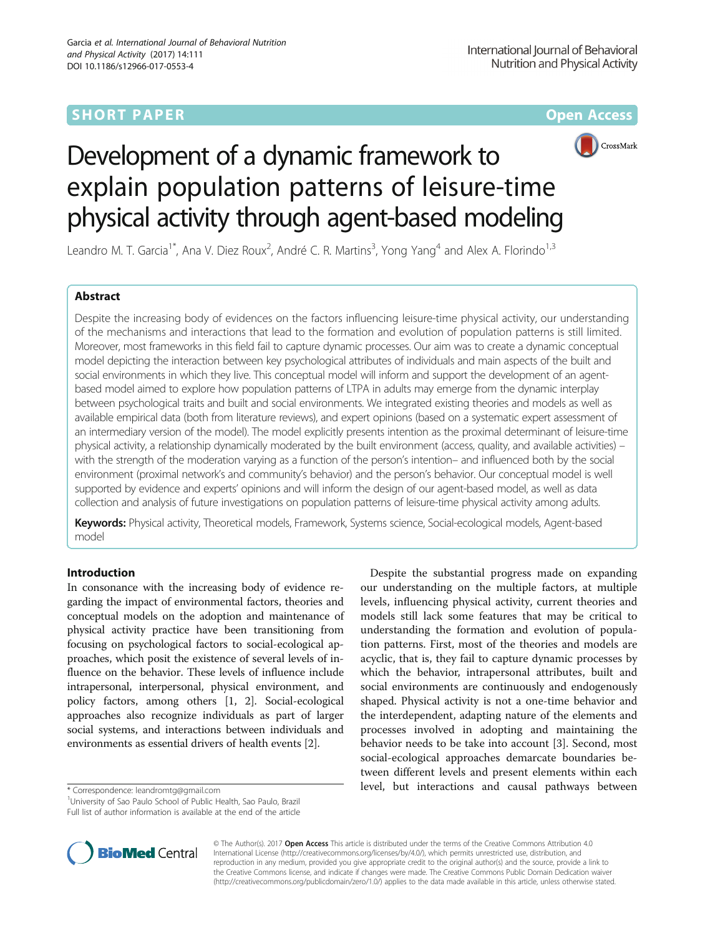# **SHORT PAPER CONSIDER CONSIDER CONSIDER CONSIDER CONSIDER CONSIDER CONSIDER CONSIDERED ACCESS**



# Development of a dynamic framework to explain population patterns of leisure-time physical activity through agent-based modeling

Leandro M. T. Garcia<sup>1\*</sup>, Ana V. Diez Roux<sup>2</sup>, André C. R. Martins<sup>3</sup>, Yong Yang<sup>4</sup> and Alex A. Florindo<sup>1,3</sup>

# Abstract

Despite the increasing body of evidences on the factors influencing leisure-time physical activity, our understanding of the mechanisms and interactions that lead to the formation and evolution of population patterns is still limited. Moreover, most frameworks in this field fail to capture dynamic processes. Our aim was to create a dynamic conceptual model depicting the interaction between key psychological attributes of individuals and main aspects of the built and social environments in which they live. This conceptual model will inform and support the development of an agentbased model aimed to explore how population patterns of LTPA in adults may emerge from the dynamic interplay between psychological traits and built and social environments. We integrated existing theories and models as well as available empirical data (both from literature reviews), and expert opinions (based on a systematic expert assessment of an intermediary version of the model). The model explicitly presents intention as the proximal determinant of leisure-time physical activity, a relationship dynamically moderated by the built environment (access, quality, and available activities) – with the strength of the moderation varying as a function of the person's intention– and influenced both by the social environment (proximal network's and community's behavior) and the person's behavior. Our conceptual model is well supported by evidence and experts' opinions and will inform the design of our agent-based model, as well as data collection and analysis of future investigations on population patterns of leisure-time physical activity among adults.

Keywords: Physical activity, Theoretical models, Framework, Systems science, Social-ecological models, Agent-based model

## Introduction

In consonance with the increasing body of evidence regarding the impact of environmental factors, theories and conceptual models on the adoption and maintenance of physical activity practice have been transitioning from focusing on psychological factors to social-ecological approaches, which posit the existence of several levels of influence on the behavior. These levels of influence include intrapersonal, interpersonal, physical environment, and policy factors, among others [\[1, 2\]](#page-6-0). Social-ecological approaches also recognize individuals as part of larger social systems, and interactions between individuals and environments as essential drivers of health events [\[2](#page-6-0)].

University of Sao Paulo School of Public Health, Sao Paulo, Brazil

Full list of author information is available at the end of the article

Despite the substantial progress made on expanding our understanding on the multiple factors, at multiple levels, influencing physical activity, current theories and models still lack some features that may be critical to understanding the formation and evolution of population patterns. First, most of the theories and models are acyclic, that is, they fail to capture dynamic processes by which the behavior, intrapersonal attributes, built and social environments are continuously and endogenously shaped. Physical activity is not a one-time behavior and the interdependent, adapting nature of the elements and processes involved in adopting and maintaining the behavior needs to be take into account [\[3](#page-6-0)]. Second, most social-ecological approaches demarcate boundaries between different levels and present elements within each \* Correspondence: [leandromtg@gmail.com](mailto:leandromtg@gmail.com) **1988** level, but interactions and causal pathways between



© The Author(s). 2017 **Open Access** This article is distributed under the terms of the Creative Commons Attribution 4.0 International License [\(http://creativecommons.org/licenses/by/4.0/](http://creativecommons.org/licenses/by/4.0/)), which permits unrestricted use, distribution, and reproduction in any medium, provided you give appropriate credit to the original author(s) and the source, provide a link to the Creative Commons license, and indicate if changes were made. The Creative Commons Public Domain Dedication waiver [\(http://creativecommons.org/publicdomain/zero/1.0/](http://creativecommons.org/publicdomain/zero/1.0/)) applies to the data made available in this article, unless otherwise stated.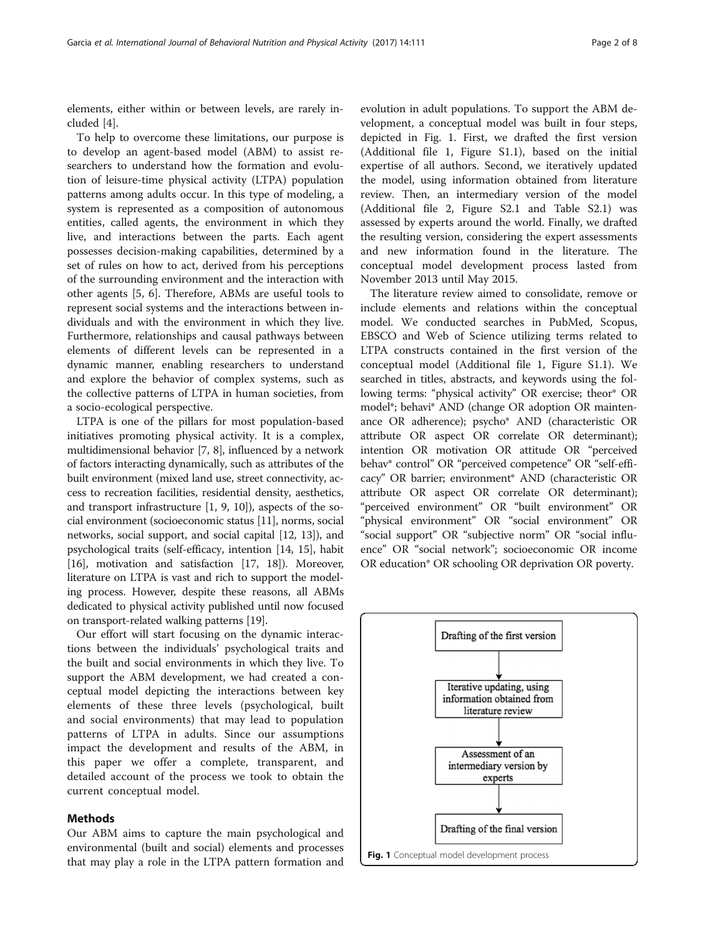elements, either within or between levels, are rarely included [[4\]](#page-6-0).

To help to overcome these limitations, our purpose is to develop an agent-based model (ABM) to assist researchers to understand how the formation and evolution of leisure-time physical activity (LTPA) population patterns among adults occur. In this type of modeling, a system is represented as a composition of autonomous entities, called agents, the environment in which they live, and interactions between the parts. Each agent possesses decision-making capabilities, determined by a set of rules on how to act, derived from his perceptions of the surrounding environment and the interaction with other agents [[5, 6](#page-6-0)]. Therefore, ABMs are useful tools to represent social systems and the interactions between individuals and with the environment in which they live. Furthermore, relationships and causal pathways between elements of different levels can be represented in a dynamic manner, enabling researchers to understand and explore the behavior of complex systems, such as the collective patterns of LTPA in human societies, from a socio-ecological perspective.

LTPA is one of the pillars for most population-based initiatives promoting physical activity. It is a complex, multidimensional behavior [\[7, 8\]](#page-6-0), influenced by a network of factors interacting dynamically, such as attributes of the built environment (mixed land use, street connectivity, access to recreation facilities, residential density, aesthetics, and transport infrastructure [\[1](#page-6-0), [9,](#page-6-0) [10\]](#page-7-0)), aspects of the social environment (socioeconomic status [\[11](#page-7-0)], norms, social networks, social support, and social capital [[12, 13\]](#page-7-0)), and psychological traits (self-efficacy, intention [\[14, 15](#page-7-0)], habit [[16](#page-7-0)], motivation and satisfaction [\[17, 18\]](#page-7-0)). Moreover, literature on LTPA is vast and rich to support the modeling process. However, despite these reasons, all ABMs dedicated to physical activity published until now focused on transport-related walking patterns [\[19\]](#page-7-0).

Our effort will start focusing on the dynamic interactions between the individuals' psychological traits and the built and social environments in which they live. To support the ABM development, we had created a conceptual model depicting the interactions between key elements of these three levels (psychological, built and social environments) that may lead to population patterns of LTPA in adults. Since our assumptions impact the development and results of the ABM, in this paper we offer a complete, transparent, and detailed account of the process we took to obtain the current conceptual model.

#### Methods

Our ABM aims to capture the main psychological and environmental (built and social) elements and processes that may play a role in the LTPA pattern formation and

evolution in adult populations. To support the ABM development, a conceptual model was built in four steps, depicted in Fig. 1. First, we drafted the first version (Additional file [1,](#page-6-0) Figure S1.1), based on the initial expertise of all authors. Second, we iteratively updated the model, using information obtained from literature review. Then, an intermediary version of the model (Additional file [2,](#page-6-0) Figure S2.1 and Table S2.1) was assessed by experts around the world. Finally, we drafted the resulting version, considering the expert assessments and new information found in the literature. The conceptual model development process lasted from November 2013 until May 2015.

The literature review aimed to consolidate, remove or include elements and relations within the conceptual model. We conducted searches in PubMed, Scopus, EBSCO and Web of Science utilizing terms related to LTPA constructs contained in the first version of the conceptual model (Additional file [1,](#page-6-0) Figure S1.1). We searched in titles, abstracts, and keywords using the following terms: "physical activity" OR exercise; theor\* OR model\*; behavi\* AND (change OR adoption OR maintenance OR adherence); psycho\* AND (characteristic OR attribute OR aspect OR correlate OR determinant); intention OR motivation OR attitude OR "perceived behav\* control" OR "perceived competence" OR "self-efficacy" OR barrier; environment\* AND (characteristic OR attribute OR aspect OR correlate OR determinant); "perceived environment" OR "built environment" OR "physical environment" OR "social environment" OR "social support" OR "subjective norm" OR "social influence" OR "social network"; socioeconomic OR income OR education\* OR schooling OR deprivation OR poverty.

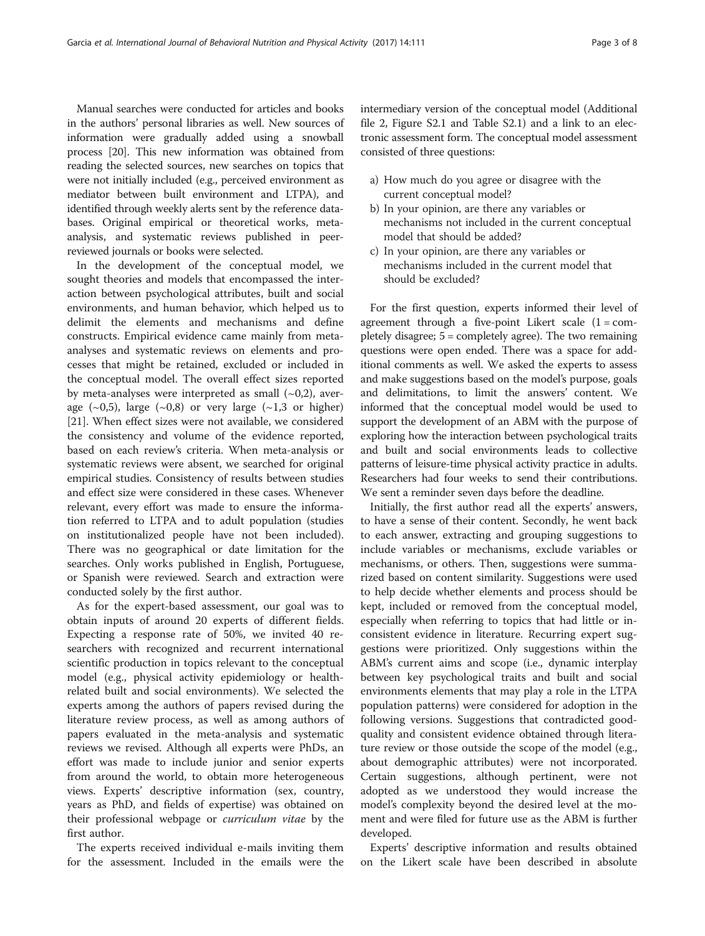Manual searches were conducted for articles and books in the authors' personal libraries as well. New sources of information were gradually added using a snowball process [[20](#page-7-0)]. This new information was obtained from reading the selected sources, new searches on topics that were not initially included (e.g., perceived environment as mediator between built environment and LTPA), and identified through weekly alerts sent by the reference databases. Original empirical or theoretical works, metaanalysis, and systematic reviews published in peerreviewed journals or books were selected.

In the development of the conceptual model, we sought theories and models that encompassed the interaction between psychological attributes, built and social environments, and human behavior, which helped us to delimit the elements and mechanisms and define constructs. Empirical evidence came mainly from metaanalyses and systematic reviews on elements and processes that might be retained, excluded or included in the conceptual model. The overall effect sizes reported by meta-analyses were interpreted as small  $(\sim 0, 2)$ , average  $(\sim 0.5)$ , large  $(\sim 0.8)$  or very large  $(\sim 1.3$  or higher) [[21\]](#page-7-0). When effect sizes were not available, we considered the consistency and volume of the evidence reported, based on each review's criteria. When meta-analysis or systematic reviews were absent, we searched for original empirical studies. Consistency of results between studies and effect size were considered in these cases. Whenever relevant, every effort was made to ensure the information referred to LTPA and to adult population (studies on institutionalized people have not been included). There was no geographical or date limitation for the searches. Only works published in English, Portuguese, or Spanish were reviewed. Search and extraction were conducted solely by the first author.

As for the expert-based assessment, our goal was to obtain inputs of around 20 experts of different fields. Expecting a response rate of 50%, we invited 40 researchers with recognized and recurrent international scientific production in topics relevant to the conceptual model (e.g., physical activity epidemiology or healthrelated built and social environments). We selected the experts among the authors of papers revised during the literature review process, as well as among authors of papers evaluated in the meta-analysis and systematic reviews we revised. Although all experts were PhDs, an effort was made to include junior and senior experts from around the world, to obtain more heterogeneous views. Experts' descriptive information (sex, country, years as PhD, and fields of expertise) was obtained on their professional webpage or curriculum vitae by the first author.

The experts received individual e-mails inviting them for the assessment. Included in the emails were the intermediary version of the conceptual model (Additional file [2](#page-6-0), Figure S2.1 and Table S2.1) and a link to an electronic assessment form. The conceptual model assessment consisted of three questions:

- a) How much do you agree or disagree with the current conceptual model?
- b) In your opinion, are there any variables or mechanisms not included in the current conceptual model that should be added?
- c) In your opinion, are there any variables or mechanisms included in the current model that should be excluded?

For the first question, experts informed their level of agreement through a five-point Likert scale  $(1 = comm)$ pletely disagree; 5 = completely agree). The two remaining questions were open ended. There was a space for additional comments as well. We asked the experts to assess and make suggestions based on the model's purpose, goals and delimitations, to limit the answers' content. We informed that the conceptual model would be used to support the development of an ABM with the purpose of exploring how the interaction between psychological traits and built and social environments leads to collective patterns of leisure-time physical activity practice in adults. Researchers had four weeks to send their contributions. We sent a reminder seven days before the deadline.

Initially, the first author read all the experts' answers, to have a sense of their content. Secondly, he went back to each answer, extracting and grouping suggestions to include variables or mechanisms, exclude variables or mechanisms, or others. Then, suggestions were summarized based on content similarity. Suggestions were used to help decide whether elements and process should be kept, included or removed from the conceptual model, especially when referring to topics that had little or inconsistent evidence in literature. Recurring expert suggestions were prioritized. Only suggestions within the ABM's current aims and scope (i.e., dynamic interplay between key psychological traits and built and social environments elements that may play a role in the LTPA population patterns) were considered for adoption in the following versions. Suggestions that contradicted goodquality and consistent evidence obtained through literature review or those outside the scope of the model (e.g., about demographic attributes) were not incorporated. Certain suggestions, although pertinent, were not adopted as we understood they would increase the model's complexity beyond the desired level at the moment and were filed for future use as the ABM is further developed.

Experts' descriptive information and results obtained on the Likert scale have been described in absolute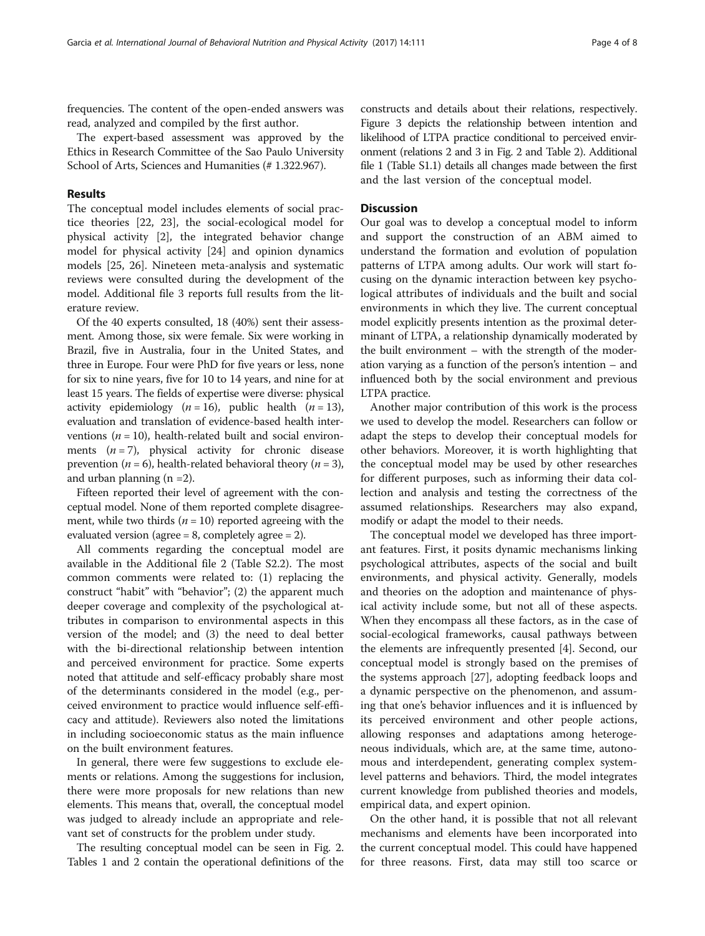frequencies. The content of the open-ended answers was read, analyzed and compiled by the first author.

The expert-based assessment was approved by the Ethics in Research Committee of the Sao Paulo University School of Arts, Sciences and Humanities (# 1.322.967).

### Results

The conceptual model includes elements of social practice theories [\[22, 23\]](#page-7-0), the social-ecological model for physical activity [\[2](#page-6-0)], the integrated behavior change model for physical activity [\[24\]](#page-7-0) and opinion dynamics models [\[25](#page-7-0), [26](#page-7-0)]. Nineteen meta-analysis and systematic reviews were consulted during the development of the model. Additional file [3](#page-6-0) reports full results from the literature review.

Of the 40 experts consulted, 18 (40%) sent their assessment. Among those, six were female. Six were working in Brazil, five in Australia, four in the United States, and three in Europe. Four were PhD for five years or less, none for six to nine years, five for 10 to 14 years, and nine for at least 15 years. The fields of expertise were diverse: physical activity epidemiology  $(n = 16)$ , public health  $(n = 13)$ , evaluation and translation of evidence-based health interventions ( $n = 10$ ), health-related built and social environments  $(n = 7)$ , physical activity for chronic disease prevention ( $n = 6$ ), health-related behavioral theory ( $n = 3$ ), and urban planning  $(n = 2)$ .

Fifteen reported their level of agreement with the conceptual model. None of them reported complete disagreement, while two thirds ( $n = 10$ ) reported agreeing with the evaluated version (agree = 8, completely agree = 2).

All comments regarding the conceptual model are available in the Additional file [2](#page-6-0) (Table S2.2). The most common comments were related to: (1) replacing the construct "habit" with "behavior"; (2) the apparent much deeper coverage and complexity of the psychological attributes in comparison to environmental aspects in this version of the model; and (3) the need to deal better with the bi-directional relationship between intention and perceived environment for practice. Some experts noted that attitude and self-efficacy probably share most of the determinants considered in the model (e.g., perceived environment to practice would influence self-efficacy and attitude). Reviewers also noted the limitations in including socioeconomic status as the main influence on the built environment features.

In general, there were few suggestions to exclude elements or relations. Among the suggestions for inclusion, there were more proposals for new relations than new elements. This means that, overall, the conceptual model was judged to already include an appropriate and relevant set of constructs for the problem under study.

The resulting conceptual model can be seen in Fig. [2](#page-4-0). Tables [1](#page-5-0) and [2](#page-5-0) contain the operational definitions of the constructs and details about their relations, respectively. Figure [3](#page-6-0) depicts the relationship between intention and likelihood of LTPA practice conditional to perceived environment (relations 2 and 3 in Fig. [2](#page-4-0) and Table [2\)](#page-5-0). Additional file [1](#page-6-0) (Table S1.1) details all changes made between the first and the last version of the conceptual model.

#### **Discussion**

Our goal was to develop a conceptual model to inform and support the construction of an ABM aimed to understand the formation and evolution of population patterns of LTPA among adults. Our work will start focusing on the dynamic interaction between key psychological attributes of individuals and the built and social environments in which they live. The current conceptual model explicitly presents intention as the proximal determinant of LTPA, a relationship dynamically moderated by the built environment – with the strength of the moderation varying as a function of the person's intention – and influenced both by the social environment and previous LTPA practice.

Another major contribution of this work is the process we used to develop the model. Researchers can follow or adapt the steps to develop their conceptual models for other behaviors. Moreover, it is worth highlighting that the conceptual model may be used by other researches for different purposes, such as informing their data collection and analysis and testing the correctness of the assumed relationships. Researchers may also expand, modify or adapt the model to their needs.

The conceptual model we developed has three important features. First, it posits dynamic mechanisms linking psychological attributes, aspects of the social and built environments, and physical activity. Generally, models and theories on the adoption and maintenance of physical activity include some, but not all of these aspects. When they encompass all these factors, as in the case of social-ecological frameworks, causal pathways between the elements are infrequently presented [[4\]](#page-6-0). Second, our conceptual model is strongly based on the premises of the systems approach [[27\]](#page-7-0), adopting feedback loops and a dynamic perspective on the phenomenon, and assuming that one's behavior influences and it is influenced by its perceived environment and other people actions, allowing responses and adaptations among heterogeneous individuals, which are, at the same time, autonomous and interdependent, generating complex systemlevel patterns and behaviors. Third, the model integrates current knowledge from published theories and models, empirical data, and expert opinion.

On the other hand, it is possible that not all relevant mechanisms and elements have been incorporated into the current conceptual model. This could have happened for three reasons. First, data may still too scarce or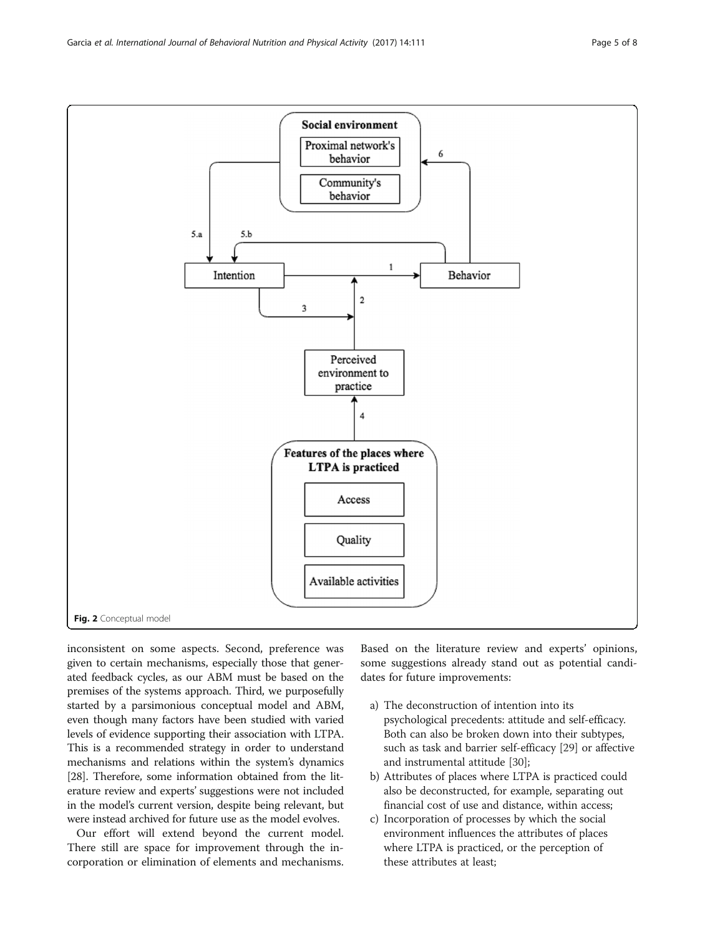inconsistent on some aspects. Second, preference was given to certain mechanisms, especially those that generated feedback cycles, as our ABM must be based on the premises of the systems approach. Third, we purposefully started by a parsimonious conceptual model and ABM, even though many factors have been studied with varied levels of evidence supporting their association with LTPA. This is a recommended strategy in order to understand mechanisms and relations within the system's dynamics [[28](#page-7-0)]. Therefore, some information obtained from the literature review and experts' suggestions were not included in the model's current version, despite being relevant, but were instead archived for future use as the model evolves.

Our effort will extend beyond the current model. There still are space for improvement through the incorporation or elimination of elements and mechanisms. Based on the literature review and experts' opinions, some suggestions already stand out as potential candidates for future improvements:

- a) The deconstruction of intention into its psychological precedents: attitude and self-efficacy. Both can also be broken down into their subtypes, such as task and barrier self-efficacy [[29\]](#page-7-0) or affective and instrumental attitude [\[30\]](#page-7-0);
- b) Attributes of places where LTPA is practiced could also be deconstructed, for example, separating out financial cost of use and distance, within access;
- c) Incorporation of processes by which the social environment influences the attributes of places where LTPA is practiced, or the perception of these attributes at least;

<span id="page-4-0"></span>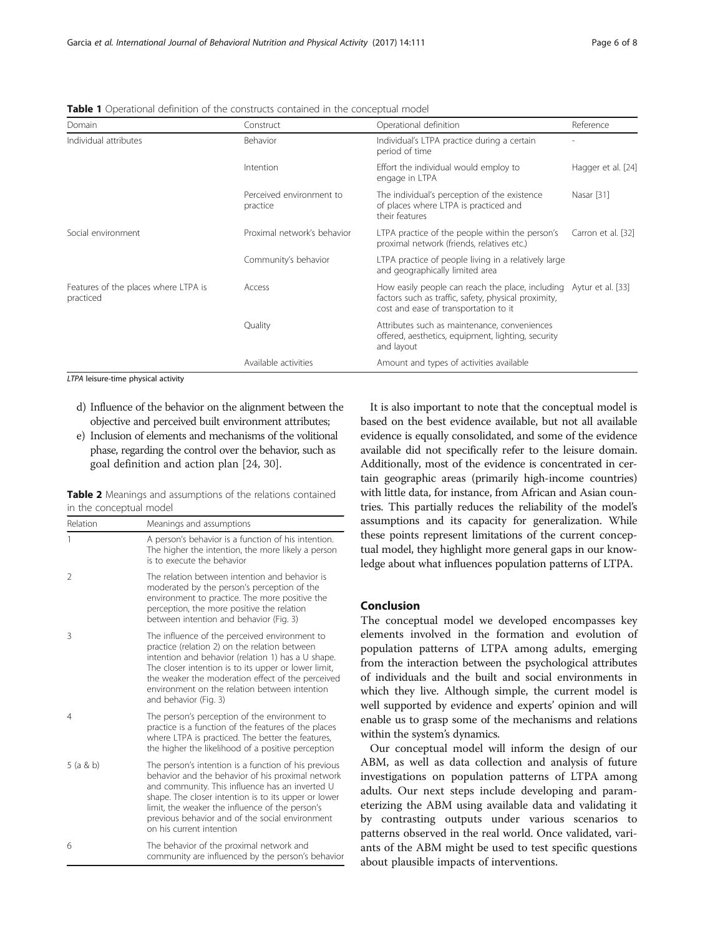<span id="page-5-0"></span>

| Domain                                            | Construct                            | Operational definition                                                                                                                                              | Reference          |  |
|---------------------------------------------------|--------------------------------------|---------------------------------------------------------------------------------------------------------------------------------------------------------------------|--------------------|--|
| Individual attributes                             | Behavior                             | Individual's LTPA practice during a certain<br>period of time                                                                                                       |                    |  |
|                                                   | Intention                            | Effort the individual would employ to<br>engage in LTPA                                                                                                             | Hagger et al. [24] |  |
|                                                   | Perceived environment to<br>practice | The individual's perception of the existence<br>of places where LTPA is practiced and<br>their features                                                             | Nasar [31]         |  |
| Social environment                                | Proximal network's behavior          | LTPA practice of the people within the person's<br>proximal network (friends, relatives etc.)                                                                       | Carron et al. [32] |  |
|                                                   | Community's behavior                 | LTPA practice of people living in a relatively large<br>and geographically limited area                                                                             |                    |  |
| Features of the places where LTPA is<br>practiced | Access                               | How easily people can reach the place, including Aytur et al. [33]<br>factors such as traffic, safety, physical proximity,<br>cost and ease of transportation to it |                    |  |
|                                                   | Quality                              | Attributes such as maintenance, conveniences<br>offered, aesthetics, equipment, lighting, security<br>and layout                                                    |                    |  |
|                                                   | Available activities                 | Amount and types of activities available                                                                                                                            |                    |  |

LTPA leisure-time physical activity

- d) Influence of the behavior on the alignment between the objective and perceived built environment attributes;
- e) Inclusion of elements and mechanisms of the volitional phase, regarding the control over the behavior, such as goal definition and action plan [[24,](#page-7-0) [30\]](#page-7-0).

|                         |  | <b>Table 2</b> Meanings and assumptions of the relations contained |  |  |  |
|-------------------------|--|--------------------------------------------------------------------|--|--|--|
| in the conceptual model |  |                                                                    |  |  |  |

| Relation | Meanings and assumptions                                                                                                                                                                                                                                                                                                                               |
|----------|--------------------------------------------------------------------------------------------------------------------------------------------------------------------------------------------------------------------------------------------------------------------------------------------------------------------------------------------------------|
| 1        | A person's behavior is a function of his intention.<br>The higher the intention, the more likely a person<br>is to execute the behavior                                                                                                                                                                                                                |
| 2        | The relation between intention and behavior is<br>moderated by the person's perception of the<br>environment to practice. The more positive the<br>perception, the more positive the relation<br>between intention and behavior (Fig. 3)                                                                                                               |
| 3        | The influence of the perceived environment to<br>practice (relation 2) on the relation between<br>intention and behavior (relation 1) has a U shape.<br>The closer intention is to its upper or lower limit,<br>the weaker the moderation effect of the perceived<br>environment on the relation between intention<br>and behavior (Fig. 3)            |
| 4        | The person's perception of the environment to<br>practice is a function of the features of the places<br>where LTPA is practiced. The better the features,<br>the higher the likelihood of a positive perception                                                                                                                                       |
| 5(a & b) | The person's intention is a function of his previous<br>behavior and the behavior of his proximal network<br>and community. This influence has an inverted U<br>shape. The closer intention is to its upper or lower<br>limit, the weaker the influence of the person's<br>previous behavior and of the social environment<br>on his current intention |
| 6        | The behavior of the proximal network and<br>community are influenced by the person's behavior                                                                                                                                                                                                                                                          |

It is also important to note that the conceptual model is based on the best evidence available, but not all available evidence is equally consolidated, and some of the evidence available did not specifically refer to the leisure domain. Additionally, most of the evidence is concentrated in certain geographic areas (primarily high-income countries) with little data, for instance, from African and Asian countries. This partially reduces the reliability of the model's assumptions and its capacity for generalization. While these points represent limitations of the current conceptual model, they highlight more general gaps in our knowledge about what influences population patterns of LTPA.

# Conclusion

The conceptual model we developed encompasses key elements involved in the formation and evolution of population patterns of LTPA among adults, emerging from the interaction between the psychological attributes of individuals and the built and social environments in which they live. Although simple, the current model is well supported by evidence and experts' opinion and will enable us to grasp some of the mechanisms and relations within the system's dynamics.

Our conceptual model will inform the design of our ABM, as well as data collection and analysis of future investigations on population patterns of LTPA among adults. Our next steps include developing and parameterizing the ABM using available data and validating it by contrasting outputs under various scenarios to patterns observed in the real world. Once validated, variants of the ABM might be used to test specific questions about plausible impacts of interventions.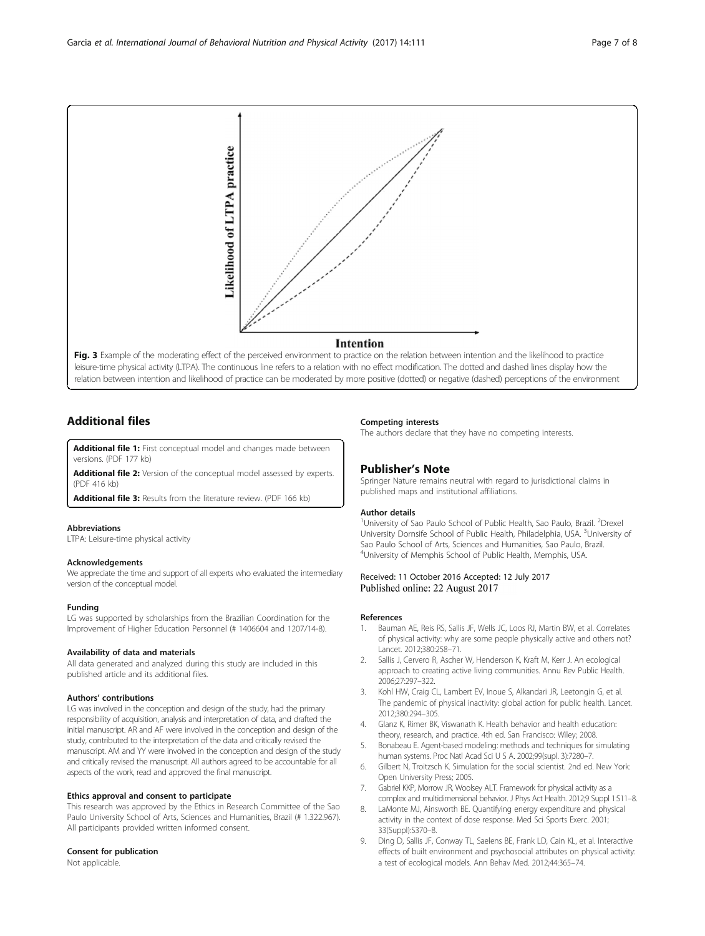<span id="page-6-0"></span>

Fig. 3 Example of the moderating effect of the perceived environment to practice on the relation between intention and the likelihood to practice leisure-time physical activity (LTPA). The continuous line refers to a relation with no effect modification. The dotted and dashed lines display how the relation between intention and likelihood of practice can be moderated by more positive (dotted) or negative (dashed) perceptions of the environment

# Additional files

[Additional file 1:](dx.doi.org/10.1186/s12966-017-0553-4) First conceptual model and changes made between versions. (PDF 177 kb)

[Additional file 2:](dx.doi.org/10.1186/s12966-017-0553-4) Version of the conceptual model assessed by experts. (PDF 416 kb)

[Additional file 3:](dx.doi.org/10.1186/s12966-017-0553-4) Results from the literature review. (PDF 166 kb)

#### Abbreviations

LTPA: Leisure-time physical activity

#### Acknowledgements

We appreciate the time and support of all experts who evaluated the intermediary version of the conceptual model.

#### Funding

LG was supported by scholarships from the Brazilian Coordination for the Improvement of Higher Education Personnel (# 1406604 and 1207/14-8).

#### Availability of data and materials

All data generated and analyzed during this study are included in this published article and its additional files.

#### Authors' contributions

LG was involved in the conception and design of the study, had the primary responsibility of acquisition, analysis and interpretation of data, and drafted the initial manuscript. AR and AF were involved in the conception and design of the study, contributed to the interpretation of the data and critically revised the manuscript. AM and YY were involved in the conception and design of the study and critically revised the manuscript. All authors agreed to be accountable for all aspects of the work, read and approved the final manuscript.

#### Ethics approval and consent to participate

This research was approved by the Ethics in Research Committee of the Sao Paulo University School of Arts, Sciences and Humanities, Brazil (# 1.322.967). All participants provided written informed consent.

#### Consent for publication

Not applicable.

#### Competing interests

The authors declare that they have no competing interests.

#### Publisher's Note

Springer Nature remains neutral with regard to jurisdictional claims in published maps and institutional affiliations.

#### Author details

<sup>1</sup>University of Sao Paulo School of Public Health, Sao Paulo, Brazil. <sup>2</sup>Drexel University Dornsife School of Public Health, Philadelphia, USA. <sup>3</sup>University of Sao Paulo School of Arts, Sciences and Humanities, Sao Paulo, Brazil. 4 University of Memphis School of Public Health, Memphis, USA.

#### Received: 11 October 2016 Accepted: 12 July 2017 Published online: 22 August 2017

#### References

- 1. Bauman AE, Reis RS, Sallis JF, Wells JC, Loos RJ, Martin BW, et al. Correlates of physical activity: why are some people physically active and others not? Lancet. 2012;380:258–71.
- 2. Sallis J, Cervero R, Ascher W, Henderson K, Kraft M, Kerr J. An ecological approach to creating active living communities. Annu Rev Public Health. 2006;27:297–322.
- 3. Kohl HW, Craig CL, Lambert EV, Inoue S, Alkandari JR, Leetongin G, et al. The pandemic of physical inactivity: global action for public health. Lancet. 2012;380:294–305.
- 4. Glanz K, Rimer BK, Viswanath K. Health behavior and health education: theory, research, and practice. 4th ed. San Francisco: Wiley; 2008.
- 5. Bonabeau E. Agent-based modeling: methods and techniques for simulating human systems. Proc Natl Acad Sci U S A. 2002;99(supl. 3):7280–7.
- Gilbert N, Troitzsch K. Simulation for the social scientist. 2nd ed. New York: Open University Press; 2005.
- 7. Gabriel KKP, Morrow JR, Woolsey ALT. Framework for physical activity as a complex and multidimensional behavior. J Phys Act Health. 2012;9 Suppl 1:S11–8.
- 8. LaMonte MJ, Ainsworth BE. Quantifying energy expenditure and physical activity in the context of dose response. Med Sci Sports Exerc. 2001; 33(Suppl):S370–8.
- 9. Ding D, Sallis JF, Conway TL, Saelens BE, Frank LD, Cain KL, et al. Interactive effects of built environment and psychosocial attributes on physical activity: a test of ecological models. Ann Behav Med. 2012;44:365–74.